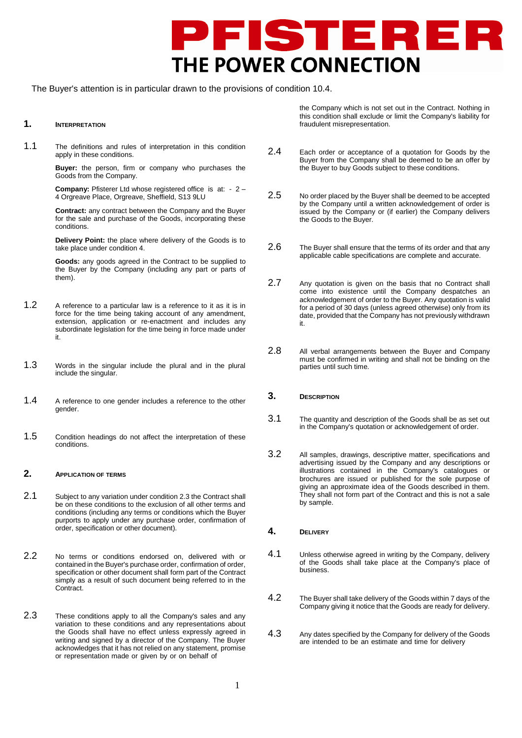

The Buyer's attention is in particular drawn to the provisions of condition 10.4.

## **1. INTERPRETATION**

1.1 The definitions and rules of interpretation in this condition apply in these conditions.

> **Buyer:** the person, firm or company who purchases the Goods from the Company.

> **Company:** Pfisterer Ltd whose registered office is at: - 2 – 4 Orgreave Place, Orgreave, Sheffield, S13 9LU

> **Contract:** any contract between the Company and the Buyer for the sale and purchase of the Goods, incorporating these conditions.

> **Delivery Point:** the place where delivery of the Goods is to take place under condition 4.

> **Goods:** any goods agreed in the Contract to be supplied to the Buyer by the Company (including any part or parts of them).

- 1.2 A reference to a particular law is a reference to it as it is in force for the time being taking account of any amendment, extension, application or re-enactment and includes any subordinate legislation for the time being in force made under it.
- 1.3 Words in the singular include the plural and in the plural include the singular.
- 1.4 A reference to one gender includes a reference to the other gender.
- 1.5 Condition headings do not affect the interpretation of these conditions.

### **2. APPLICATION OF TERMS**

- 2.1 Subject to any variation under condition 2.3 the Contract shall be on these conditions to the exclusion of all other terms and conditions (including any terms or conditions which the Buyer purports to apply under any purchase order, confirmation of order, specification or other document).
- 2.2 No terms or conditions endorsed on, delivered with or contained in the Buyer's purchase order, confirmation of order, specification or other document shall form part of the Contract simply as a result of such document being referred to in the Contract.
- 2.3 These conditions apply to all the Company's sales and any variation to these conditions and any representations about the Goods shall have no effect unless expressly agreed in writing and signed by a director of the Company. The Buyer acknowledges that it has not relied on any statement, promise or representation made or given by or on behalf of

the Company which is not set out in the Contract. Nothing in this condition shall exclude or limit the Company's liability for fraudulent misrepresentation.

- 2.4 Each order or acceptance of a quotation for Goods by the Buyer from the Company shall be deemed to be an offer by the Buyer to buy Goods subject to these conditions.
- 2.5 No order placed by the Buyer shall be deemed to be accepted by the Company until a written acknowledgement of order is issued by the Company or (if earlier) the Company delivers the Goods to the Buyer.
- 2.6 The Buyer shall ensure that the terms of its order and that any applicable cable specifications are complete and accurate.
- 2.7 Any quotation is given on the basis that no Contract shall come into existence until the Company despatches an acknowledgement of order to the Buyer. Any quotation is valid for a period of 30 days (unless agreed otherwise) only from its date, provided that the Company has not previously withdrawn it.
- 2.8 All verbal arrangements between the Buyer and Company must be confirmed in writing and shall not be binding on the parties until such time.

#### **3. DESCRIPTION**

- 3.1 The quantity and description of the Goods shall be as set out in the Company's quotation or acknowledgement of order.
- 3.2 All samples, drawings, descriptive matter, specifications and advertising issued by the Company and any descriptions or illustrations contained in the Company's catalogues or brochures are issued or published for the sole purpose of giving an approximate idea of the Goods described in them. They shall not form part of the Contract and this is not a sale by sample.
- **4. DELIVERY**
- 4.1 Unless otherwise agreed in writing by the Company, delivery of the Goods shall take place at the Company's place of business.
- 4.2 The Buyer shall take delivery of the Goods within 7 days of the Company giving it notice that the Goods are ready for delivery.
- 4.3 Any dates specified by the Company for delivery of the Goods are intended to be an estimate and time for delivery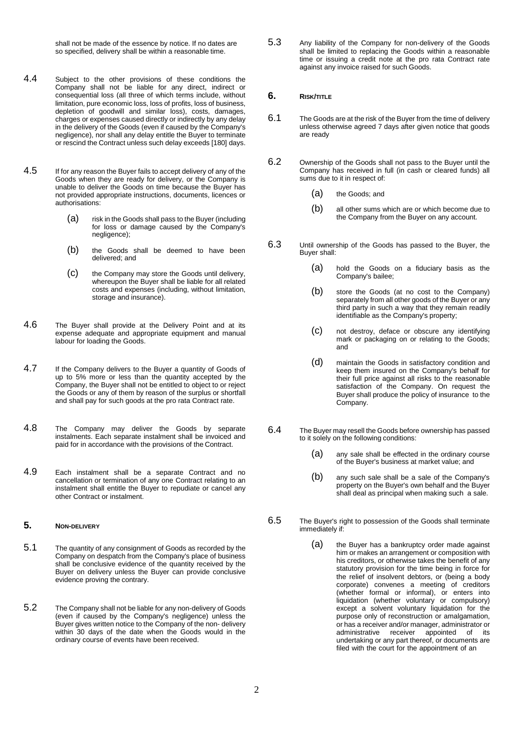shall not be made of the essence by notice. If no dates are so specified, delivery shall be within a reasonable time.

- 4.4 Subject to the other provisions of these conditions the Company shall not be liable for any direct, indirect or consequential loss (all three of which terms include, without limitation, pure economic loss, loss of profits, loss of business, depletion of goodwill and similar loss), costs, damages, charges or expenses caused directly or indirectly by any delay in the delivery of the Goods (even if caused by the Company's negligence), nor shall any delay entitle the Buyer to terminate or rescind the Contract unless such delay exceeds [180] days.
- 4.5 If for any reason the Buyer fails to accept delivery of any of the Goods when they are ready for delivery, or the Company is unable to deliver the Goods on time because the Buyer has not provided appropriate instructions, documents, licences or authorisations:
	- (a) risk in the Goods shall pass to the Buyer (including for loss or damage caused by the Company's negligence);
	- (b) the Goods shall be deemed to have been delivered; and
	- (c) the Company may store the Goods until delivery, whereupon the Buyer shall be liable for all related costs and expenses (including, without limitation, storage and insurance).
- 4.6 The Buyer shall provide at the Delivery Point and at its expense adequate and appropriate equipment and manual labour for loading the Goods.
- 4.7 If the Company delivers to the Buyer a quantity of Goods of up to 5% more or less than the quantity accepted by the Company, the Buyer shall not be entitled to object to or reject the Goods or any of them by reason of the surplus or shortfall and shall pay for such goods at the pro rata Contract rate.
- 4.8 The Company may deliver the Goods by separate instalments. Each separate instalment shall be invoiced and paid for in accordance with the provisions of the Contract.
- 4.9 Each instalment shall be a separate Contract and no cancellation or termination of any one Contract relating to an instalment shall entitle the Buyer to repudiate or cancel any other Contract or instalment.

### **5. NON-DELIVERY**

- 5.1 The quantity of any consignment of Goods as recorded by the Company on despatch from the Company's place of business shall be conclusive evidence of the quantity received by the Buyer on delivery unless the Buyer can provide conclusive evidence proving the contrary.
- 5.2 The Company shall not be liable for any non-delivery of Goods (even if caused by the Company's negligence) unless the Buyer gives written notice to the Company of the non- delivery within 30 days of the date when the Goods would in the ordinary course of events have been received.

5.3 Any liability of the Company for non-delivery of the Goods shall be limited to replacing the Goods within a reasonable time or issuing a credit note at the pro rata Contract rate against any invoice raised for such Goods.

#### **6. RISK/TITLE**

- 6.1 The Goods are at the risk of the Buyer from the time of delivery unless otherwise agreed 7 days after given notice that goods are ready
- 6.2 Ownership of the Goods shall not pass to the Buyer until the Company has received in full (in cash or cleared funds) all sums due to it in respect of:
	- (a) the Goods; and
	- (b) all other sums which are or which become due to the Company from the Buyer on any account.
- 6.3 Until ownership of the Goods has passed to the Buyer, the Buyer shall:
	- (a) hold the Goods on a fiduciary basis as the Company's bailee;
	- (b) store the Goods (at no cost to the Company) separately from all other goods of the Buyer or any third party in such a way that they remain readily identifiable as the Company's property;
	- (c) not destroy, deface or obscure any identifying mark or packaging on or relating to the Goods; and
	- (d) maintain the Goods in satisfactory condition and keep them insured on the Company's behalf for their full price against all risks to the reasonable satisfaction of the Company. On request the Buyer shall produce the policy of insurance to the Company.
- 6.4 The Buyer may resell the Goods before ownership has passed to it solely on the following conditions:
	- (a) any sale shall be effected in the ordinary course of the Buyer's business at market value; and
	- (b) any such sale shall be a sale of the Company's property on the Buyer's own behalf and the Buyer shall deal as principal when making such a sale.
- 6.5 The Buyer's right to possession of the Goods shall terminate immediately if:
	- (a) the Buyer has a bankruptcy order made against him or makes an arrangement or composition with his creditors, or otherwise takes the benefit of any statutory provision for the time being in force for the relief of insolvent debtors, or (being a body corporate) convenes a meeting of creditors (whether formal or informal), or enters into liquidation (whether voluntary or compulsory) except a solvent voluntary liquidation for the purpose only of reconstruction or amalgamation, or has a receiver and/or manager, administrator or administrative receiver appointed of its undertaking or any part thereof, or documents are filed with the court for the appointment of an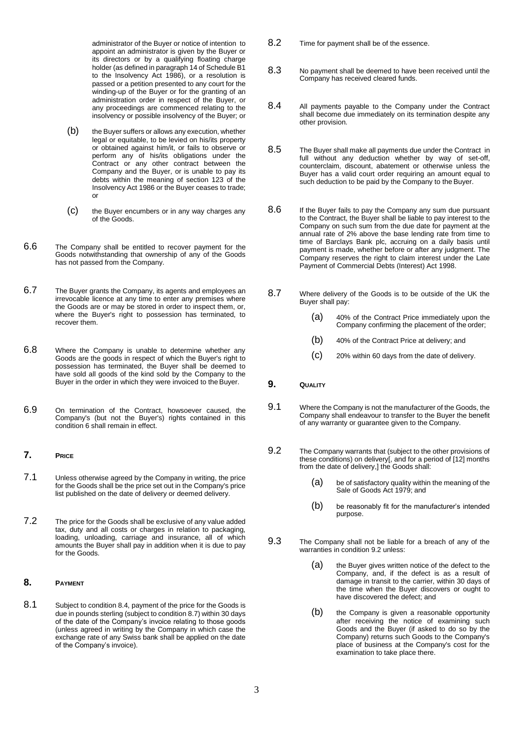administrator of the Buyer or notice of intention to appoint an administrator is given by the Buyer or its directors or by a qualifying floating charge holder (as defined in paragraph 14 of Schedule B1 to the Insolvency Act 1986), or a resolution is passed or a petition presented to any court for the winding-up of the Buyer or for the granting of an administration order in respect of the Buyer, or any proceedings are commenced relating to the insolvency or possible insolvency of the Buyer; or

- (b) the Buyer suffers or allows any execution, whether legal or equitable, to be levied on his/its property or obtained against him/it, or fails to observe or perform any of his/its obligations under the Contract or any other contract between the Company and the Buyer, or is unable to pay its debts within the meaning of section 123 of the Insolvency Act 1986 or the Buyer ceases to trade; or
- (c) the Buyer encumbers or in any way charges any of the Goods.
- 6.6 The Company shall be entitled to recover payment for the Goods notwithstanding that ownership of any of the Goods has not passed from the Company.
- 6.7 The Buyer grants the Company, its agents and employees an irrevocable licence at any time to enter any premises where the Goods are or may be stored in order to inspect them, or, where the Buyer's right to possession has terminated, to recover them.
- 6.8 Where the Company is unable to determine whether any Goods are the goods in respect of which the Buyer's right to possession has terminated, the Buyer shall be deemed to have sold all goods of the kind sold by the Company to the Buyer in the order in which they were invoiced to the Buyer.
- 6.9 On termination of the Contract, howsoever caused, the Company's (but not the Buyer's) rights contained in this condition 6 shall remain in effect.
- **7. PRICE**
- 7.1 Unless otherwise agreed by the Company in writing, the price for the Goods shall be the price set out in the Company's price list published on the date of delivery or deemed delivery.
- 7.2 The price for the Goods shall be exclusive of any value added tax, duty and all costs or charges in relation to packaging, loading, unloading, carriage and insurance, all of which amounts the Buyer shall pay in addition when it is due to pay for the Goods.

#### **8. PAYMENT**

8.1 Subject to condition 8.4, payment of the price for the Goods is due in pounds sterling (subject to condition 8.7) within 30 days of the date of the Company's invoice relating to those goods (unless agreed in writing by the Company in which case the exchange rate of any Swiss bank shall be applied on the date of the Company's invoice).

- 8.2 Time for payment shall be of the essence.
- 8.3 No payment shall be deemed to have been received until the Company has received cleared funds.
- 8.4 All payments payable to the Company under the Contract shall become due immediately on its termination despite any other provision.
- 8.5 The Buyer shall make all payments due under the Contract in full without any deduction whether by way of set-off, counterclaim, discount, abatement or otherwise unless the Buyer has a valid court order requiring an amount equal to such deduction to be paid by the Company to the Buyer.
- 8.6 If the Buyer fails to pay the Company any sum due pursuant to the Contract, the Buyer shall be liable to pay interest to the Company on such sum from the due date for payment at the annual rate of 2% above the base lending rate from time to time of Barclays Bank plc, accruing on a daily basis until payment is made, whether before or after any judgment. The Company reserves the right to claim interest under the Late Payment of Commercial Debts (Interest) Act 1998.
- 8.7 Where delivery of the Goods is to be outside of the UK the Buyer shall pay:
	- (a) 40% of the Contract Price immediately upon the Company confirming the placement of the order;
	- (b) 40% of the Contract Price at delivery; and
	- (c) 20% within 60 days from the date of delivery.
- **9. QUALITY**
- 9.1 Where the Company is not the manufacturer of the Goods, the Company shall endeavour to transfer to the Buyer the benefit of any warranty or guarantee given to the Company.
- 9.2 The Company warrants that (subject to the other provisions of these conditions) on delivery[, and for a period of [12] months from the date of delivery,] the Goods shall:
	- (a) be of satisfactory quality within the meaning of the Sale of Goods Act 1979; and
	- (b) be reasonably fit for the manufacturer's intended purpose.
- 9.3 The Company shall not be liable for a breach of any of the warranties in condition 9.2 unless:
	- (a) the Buyer gives written notice of the defect to the Company, and, if the defect is as a result of damage in transit to the carrier, within 30 days of the time when the Buyer discovers or ought to have discovered the defect; and
	- (b) the Company is given a reasonable opportunity after receiving the notice of examining such Goods and the Buyer (if asked to do so by the Company) returns such Goods to the Company's place of business at the Company's cost for the examination to take place there.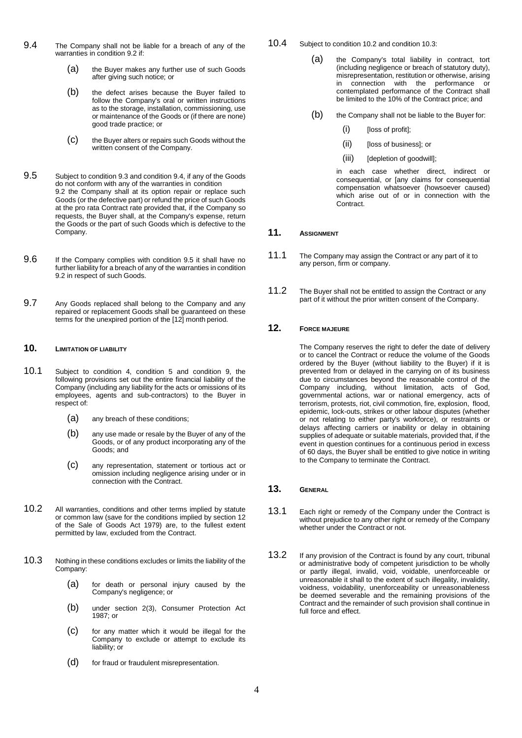- 9.4 The Company shall not be liable for a breach of any of the warranties in condition 9.2 if:
	- (a) the Buyer makes any further use of such Goods after giving such notice; or
	- (b) the defect arises because the Buyer failed to follow the Company's oral or written instructions as to the storage, installation, commissioning, use or maintenance of the Goods or (if there are none) good trade practice; or
	- (c) the Buyer alters or repairs such Goods without the written consent of the Company.
- 9.5 Subject to condition 9.3 and condition 9.4, if any of the Goods do not conform with any of the warranties in condition 9.2 the Company shall at its option repair or replace such Goods (or the defective part) or refund the price of such Goods at the pro rata Contract rate provided that, if the Company so requests, the Buyer shall, at the Company's expense, return the Goods or the part of such Goods which is defective to the Company.
- 9.6 If the Company complies with condition 9.5 it shall have no further liability for a breach of any of the warranties in condition 9.2 in respect of such Goods.
- 9.7 Any Goods replaced shall belong to the Company and any repaired or replacement Goods shall be guaranteed on these terms for the unexpired portion of the [12] month period.

## **10. LIMITATION OF LIABILITY**

- 10.1 Subject to condition 4, condition 5 and condition 9, the following provisions set out the entire financial liability of the Company (including any liability for the acts or omissions of its employees, agents and sub-contractors) to the Buyer in respect of:
	- (a) any breach of these conditions;
	- (b) any use made or resale by the Buyer of any of the Goods, or of any product incorporating any of the Goods; and
	- (c) any representation, statement or tortious act or omission including negligence arising under or in connection with the Contract.
- 10.2 All warranties, conditions and other terms implied by statute or common law (save for the conditions implied by section 12 of the Sale of Goods Act 1979) are, to the fullest extent permitted by law, excluded from the Contract.
- 10.3 Nothing in these conditions excludes or limits the liability of the Company:
	- (a) for death or personal injury caused by the Company's negligence; or
	- (b) under section 2(3), Consumer Protection Act 1987; or
	- (c) for any matter which it would be illegal for the Company to exclude or attempt to exclude its liability; or
	- (d) for fraud or fraudulent misrepresentation.
- 10.4 Subject to condition 10.2 and condition 10.3:
	- (a) the Company's total liability in contract, tort (including negligence or breach of statutory duty), misrepresentation, restitution or otherwise, arising<br>in connection with the performance or with the performance or contemplated performance of the Contract shall be limited to the 10% of the Contract price; and
	- (b) the Company shall not be liable to the Buyer for:
		- (i) [loss of profit];
		- (ii) [loss of business]; or
		- (iii) [depletion of goodwill];

in each case whether direct, indirect or consequential, or [any claims for consequential compensation whatsoever (howsoever caused) which arise out of or in connection with the Contract.

### **11. ASSIGNMENT**

- 11.1 The Company may assign the Contract or any part of it to any person, firm or company.
- 11.2 The Buyer shall not be entitled to assign the Contract or any part of it without the prior written consent of the Company.

# **12. FORCE MAJEURE**

The Company reserves the right to defer the date of delivery or to cancel the Contract or reduce the volume of the Goods ordered by the Buyer (without liability to the Buyer) if it is prevented from or delayed in the carrying on of its business due to circumstances beyond the reasonable control of the Company including, without limitation, acts of God, governmental actions, war or national emergency, acts of terrorism, protests, riot, civil commotion, fire, explosion, flood, epidemic, lock-outs, strikes or other labour disputes (whether or not relating to either party's workforce), or restraints or delays affecting carriers or inability or delay in obtaining supplies of adequate or suitable materials, provided that, if the event in question continues for a continuous period in excess of 60 days, the Buyer shall be entitled to give notice in writing to the Company to terminate the Contract.

# **13. GENERAL**

- 13.1 Each right or remedy of the Company under the Contract is without prejudice to any other right or remedy of the Company whether under the Contract or not.
- 13.2 If any provision of the Contract is found by any court, tribunal or administrative body of competent jurisdiction to be wholly or partly illegal, invalid, void, voidable, unenforceable or unreasonable it shall to the extent of such illegality, invalidity, voidness, voidability, unenforceability or unreasonableness be deemed severable and the remaining provisions of the Contract and the remainder of such provision shall continue in full force and effect.